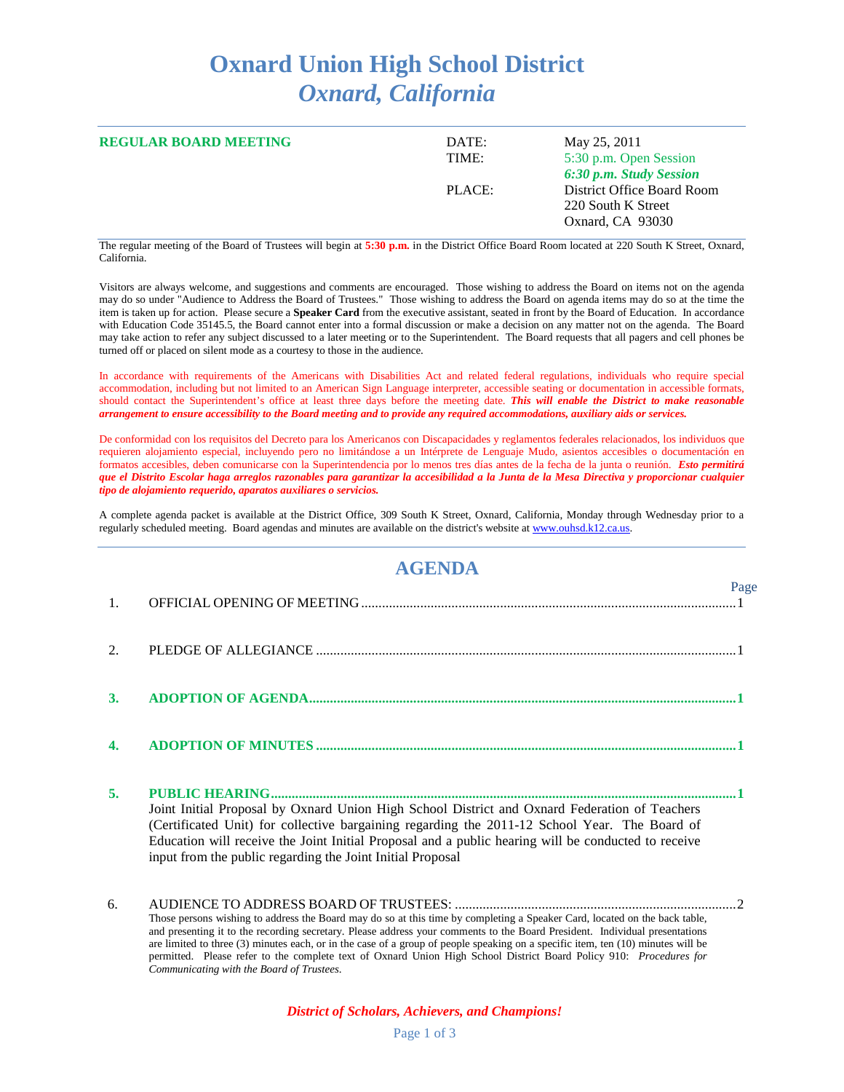## **Oxnard Union High School District** *Oxnard, California*

| <b>REGULAR BOARD MEETING</b> | DATE:<br>TIME: | May 25, 2011<br>5:30 p.m. Open Session<br>6:30 p.m. Study Session    |
|------------------------------|----------------|----------------------------------------------------------------------|
|                              | PLACE:         | District Office Board Room<br>220 South K Street<br>Oxnard, CA 93030 |

The regular meeting of the Board of Trustees will begin at **5:30 p.m.** in the District Office Board Room located at 220 South K Street, Oxnard, California.

Visitors are always welcome, and suggestions and comments are encouraged. Those wishing to address the Board on items not on the agenda may do so under "Audience to Address the Board of Trustees." Those wishing to address the Board on agenda items may do so at the time the item is taken up for action. Please secure a **Speaker Card** from the executive assistant, seated in front by the Board of Education. In accordance with Education Code 35145.5, the Board cannot enter into a formal discussion or make a decision on any matter not on the agenda. The Board may take action to refer any subject discussed to a later meeting or to the Superintendent. The Board requests that all pagers and cell phones be turned off or placed on silent mode as a courtesy to those in the audience.

In accordance with requirements of the Americans with Disabilities Act and related federal regulations, individuals who require special accommodation, including but not limited to an American Sign Language interpreter, accessible seating or documentation in accessible formats, should contact the Superintendent's office at least three days before the meeting date. *This will enable the District to make reasonable arrangement to ensure accessibility to the Board meeting and to provide any required accommodations, auxiliary aids or services.*

De conformidad con los requisitos del Decreto para los Americanos con Discapacidades y reglamentos federales relacionados, los individuos que requieren alojamiento especial, incluyendo pero no limitándose a un Intérprete de Lenguaje Mudo, asientos accesibles o documentación en formatos accesibles, deben comunicarse con la Superintendencia por lo menos tres días antes de la fecha de la junta o reunión. *Esto permitirá que el Distrito Escolar haga arreglos razonables para garantizar la accesibilidad a la Junta de la Mesa Directiva y proporcionar cualquier tipo de alojamiento requerido, aparatos auxiliares o servicios.*

A complete agenda packet is available at the District Office, 309 South K Street, Oxnard, California, Monday through Wednesday prior to a regularly scheduled meeting. Board agendas and minutes are available on the district's website a[t www.ouhsd.k12.ca.us.](http://www.ouhsd.k12.ca.us/)

## **AGENDA**

 $D_{\alpha\alpha\alpha}$ 

| $\overline{1}$ . |                                                                                                                                                                                                                                                                                                                                                                     | 1 agu |
|------------------|---------------------------------------------------------------------------------------------------------------------------------------------------------------------------------------------------------------------------------------------------------------------------------------------------------------------------------------------------------------------|-------|
| 2.               |                                                                                                                                                                                                                                                                                                                                                                     |       |
| 3.               |                                                                                                                                                                                                                                                                                                                                                                     |       |
|                  |                                                                                                                                                                                                                                                                                                                                                                     |       |
| 5.               | Joint Initial Proposal by Oxnard Union High School District and Oxnard Federation of Teachers<br>(Certificated Unit) for collective bargaining regarding the 2011-12 School Year. The Board of<br>Education will receive the Joint Initial Proposal and a public hearing will be conducted to receive<br>input from the public regarding the Joint Initial Proposal |       |
| 6.               | <u>in the discussion of the discussion of the discussion of the discussion of the discussion of the discussion of the discussion of the discussion of the discussion of the discussion of the discussion of the discussion of th</u>                                                                                                                                |       |

Those persons wishing to address the Board may do so at this time by completing a Speaker Card, located on the back table, and presenting it to the recording secretary. Please address your comments to the Board President. Individual presentations are limited to three (3) minutes each, or in the case of a group of people speaking on a specific item, ten (10) minutes will be permitted. Please refer to the complete text of Oxnard Union High School District Board Policy 910: *Procedures for Communicating with the Board of Trustees*.

## *District of Scholars, Achievers, and Champions!*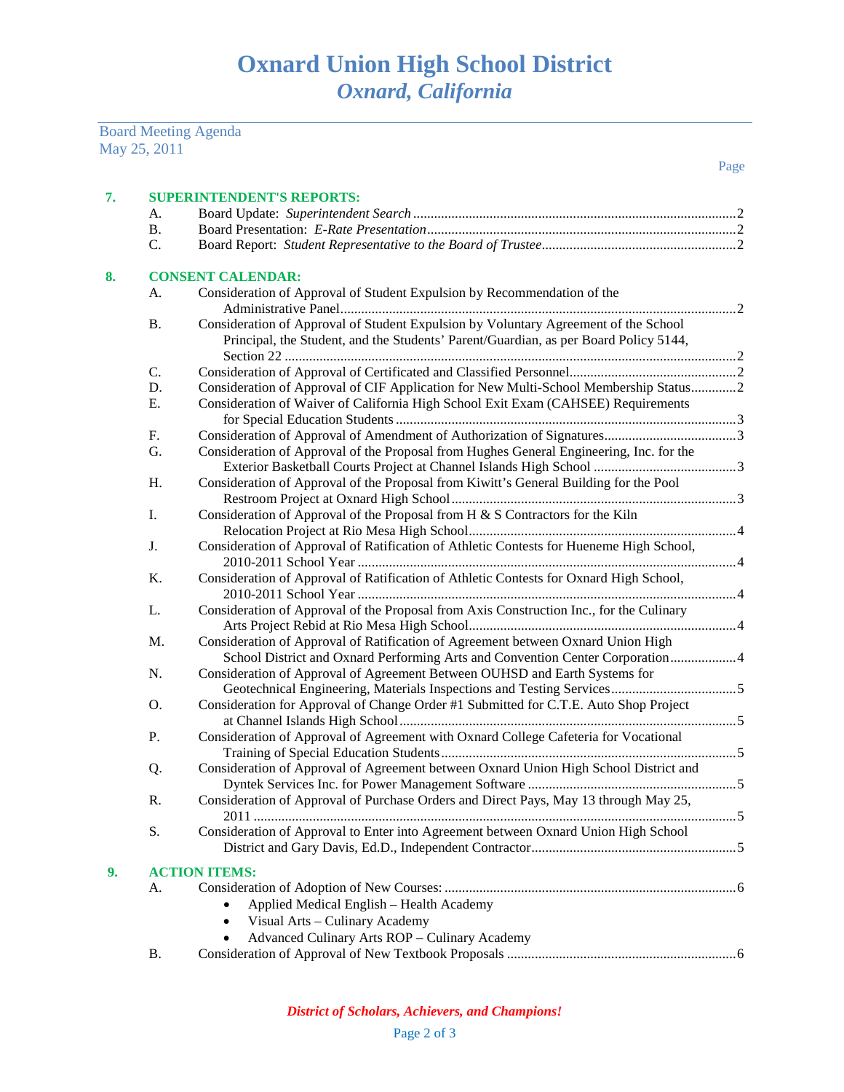|    | <b>Board Meeting Agenda</b>                                                   |                                                                                         |  |
|----|-------------------------------------------------------------------------------|-----------------------------------------------------------------------------------------|--|
|    | May 25, 2011                                                                  |                                                                                         |  |
|    |                                                                               | Page                                                                                    |  |
|    |                                                                               |                                                                                         |  |
| 7. | <b>SUPERINTENDENT'S REPORTS:</b>                                              |                                                                                         |  |
|    | А.                                                                            |                                                                                         |  |
|    | <b>B.</b>                                                                     |                                                                                         |  |
|    | $\mathcal{C}$ .                                                               |                                                                                         |  |
| 8. | <b>CONSENT CALENDAR:</b>                                                      |                                                                                         |  |
|    | Consideration of Approval of Student Expulsion by Recommendation of the<br>А. |                                                                                         |  |
|    |                                                                               |                                                                                         |  |
|    | <b>B.</b>                                                                     | Consideration of Approval of Student Expulsion by Voluntary Agreement of the School     |  |
|    |                                                                               | Principal, the Student, and the Students' Parent/Guardian, as per Board Policy 5144,    |  |
|    |                                                                               |                                                                                         |  |
|    | C.                                                                            |                                                                                         |  |
|    | D.                                                                            | Consideration of Approval of CIF Application for New Multi-School Membership Status2    |  |
|    | Ε.                                                                            | Consideration of Waiver of California High School Exit Exam (CAHSEE) Requirements       |  |
|    |                                                                               |                                                                                         |  |
|    | F.                                                                            |                                                                                         |  |
|    | G.                                                                            | Consideration of Approval of the Proposal from Hughes General Engineering, Inc. for the |  |
|    |                                                                               |                                                                                         |  |
|    | H.                                                                            | Consideration of Approval of the Proposal from Kiwitt's General Building for the Pool   |  |
|    |                                                                               |                                                                                         |  |
|    | Ι.                                                                            | Consideration of Approval of the Proposal from H & S Contractors for the Kiln           |  |
|    |                                                                               |                                                                                         |  |
|    | J.                                                                            | Consideration of Approval of Ratification of Athletic Contests for Hueneme High School, |  |
|    |                                                                               |                                                                                         |  |
|    | K.                                                                            | Consideration of Approval of Ratification of Athletic Contests for Oxnard High School,  |  |
|    |                                                                               |                                                                                         |  |
|    | L.                                                                            | Consideration of Approval of the Proposal from Axis Construction Inc., for the Culinary |  |
|    |                                                                               |                                                                                         |  |
|    | M.                                                                            | Consideration of Approval of Ratification of Agreement between Oxnard Union High        |  |
|    |                                                                               | School District and Oxnard Performing Arts and Convention Center Corporation4           |  |
|    | N.                                                                            | Consideration of Approval of Agreement Between OUHSD and Earth Systems for              |  |
|    |                                                                               |                                                                                         |  |
|    | O.                                                                            | Consideration for Approval of Change Order #1 Submitted for C.T.E. Auto Shop Project    |  |
|    |                                                                               |                                                                                         |  |
|    | Ρ.                                                                            | Consideration of Approval of Agreement with Oxnard College Cafeteria for Vocational     |  |
|    |                                                                               |                                                                                         |  |
|    | Q.                                                                            | Consideration of Approval of Agreement between Oxnard Union High School District and    |  |
|    |                                                                               |                                                                                         |  |
|    | R.                                                                            | Consideration of Approval of Purchase Orders and Direct Pays, May 13 through May 25,    |  |
|    | S.                                                                            | Consideration of Approval to Enter into Agreement between Oxnard Union High School      |  |
|    |                                                                               |                                                                                         |  |
|    |                                                                               |                                                                                         |  |
| 9. |                                                                               | <b>ACTION ITEMS:</b>                                                                    |  |
|    | А.                                                                            |                                                                                         |  |
|    |                                                                               | Applied Medical English - Health Academy                                                |  |
|    |                                                                               | Visual Arts - Culinary Academy                                                          |  |
|    |                                                                               | Advanced Culinary Arts ROP - Culinary Academy                                           |  |

B. Consideration of Approval of New Textbook Proposals ..................................................................6